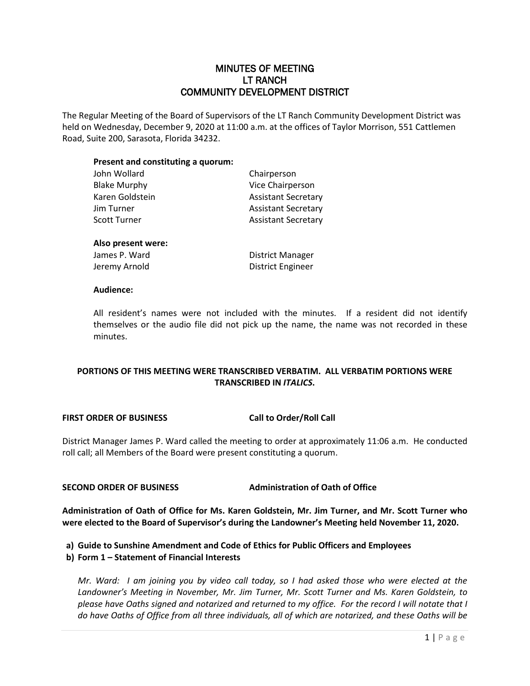## MINUTES OF MEETING LT RANCH COMMUNITY DEVELOPMENT DISTRICT

The Regular Meeting of the Board of Supervisors of the LT Ranch Community Development District was held on Wednesday, December 9, 2020 at 11:00 a.m. at the offices of Taylor Morrison, 551 Cattlemen Road, Suite 200, Sarasota, Florida 34232.

#### **Present and constituting a quorum:**

| John Wollard        | Chairperson                |
|---------------------|----------------------------|
| <b>Blake Murphy</b> | Vice Chairperson           |
| Karen Goldstein     | <b>Assistant Secretary</b> |
| Jim Turner          | <b>Assistant Secretary</b> |
| Scott Turner        | <b>Assistant Secretary</b> |
|                     |                            |
|                     |                            |

# **Also present were:**

James P. Ward **District Manager** Jeremy Arnold **District Engineer** 

#### **Audience:**

All resident's names were not included with the minutes. If a resident did not identify themselves or the audio file did not pick up the name, the name was not recorded in these minutes.

## **PORTIONS OF THIS MEETING WERE TRANSCRIBED VERBATIM. ALL VERBATIM PORTIONS WERE TRANSCRIBED IN** *ITALICS***.**

#### **FIRST ORDER OF BUSINESS Call to Order/Roll Call**

District Manager James P. Ward called the meeting to order at approximately 11:06 a.m. He conducted roll call; all Members of the Board were present constituting a quorum.

#### **SECOND ORDER OF BUSINESS Administration of Oath of Office**

**Administration of Oath of Office for Ms. Karen Goldstein, Mr. Jim Turner, and Mr. Scott Turner who were elected to the Board of Supervisor's during the Landowner's Meeting held November 11, 2020.**

#### **a) Guide to Sunshine Amendment and Code of Ethics for Public Officers and Employees**

#### **b) Form 1 – Statement of Financial Interests**

*Mr. Ward: I am joining you by video call today, so I had asked those who were elected at the Landowner's Meeting in November, Mr. Jim Turner, Mr. Scott Turner and Ms. Karen Goldstein, to please have Oaths signed and notarized and returned to my office. For the record I will notate that I do have Oaths of Office from all three individuals, all of which are notarized, and these Oaths will be*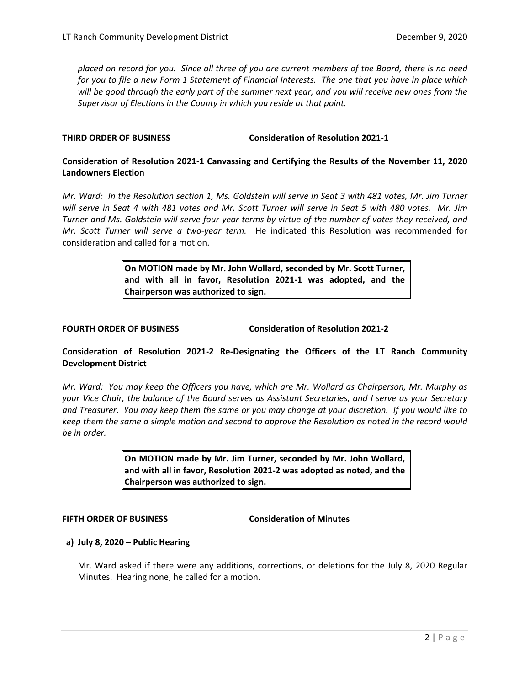*placed on record for you. Since all three of you are current members of the Board, there is no need for you to file a new Form 1 Statement of Financial Interests. The one that you have in place which will be good through the early part of the summer next year, and you will receive new ones from the Supervisor of Elections in the County in which you reside at that point.* 

#### **THIRD ORDER OF BUSINESS Consideration of Resolution 2021-1**

### **Consideration of Resolution 2021-1 Canvassing and Certifying the Results of the November 11, 2020 Landowners Election**

*Mr. Ward: In the Resolution section 1, Ms. Goldstein will serve in Seat 3 with 481 votes, Mr. Jim Turner will serve in Seat 4 with 481 votes and Mr. Scott Turner will serve in Seat 5 with 480 votes. Mr. Jim Turner and Ms. Goldstein will serve four-year terms by virtue of the number of votes they received, and Mr. Scott Turner will serve a two-year term.* He indicated this Resolution was recommended for consideration and called for a motion.

> **On MOTION made by Mr. John Wollard, seconded by Mr. Scott Turner, and with all in favor, Resolution 2021-1 was adopted, and the Chairperson was authorized to sign.**

**FOURTH ORDER OF BUSINESS Consideration of Resolution 2021-2**

#### **Consideration of Resolution 2021-2 Re-Designating the Officers of the LT Ranch Community Development District**

*Mr. Ward: You may keep the Officers you have, which are Mr. Wollard as Chairperson, Mr. Murphy as your Vice Chair, the balance of the Board serves as Assistant Secretaries, and I serve as your Secretary and Treasurer. You may keep them the same or you may change at your discretion. If you would like to keep them the same a simple motion and second to approve the Resolution as noted in the record would be in order.* 

> **On MOTION made by Mr. Jim Turner, seconded by Mr. John Wollard, and with all in favor, Resolution 2021-2 was adopted as noted, and the Chairperson was authorized to sign.**

#### **FIFTH ORDER OF BUSINESS Consideration of Minutes**

#### **a) July 8, 2020 – Public Hearing**

Mr. Ward asked if there were any additions, corrections, or deletions for the July 8, 2020 Regular Minutes. Hearing none, he called for a motion.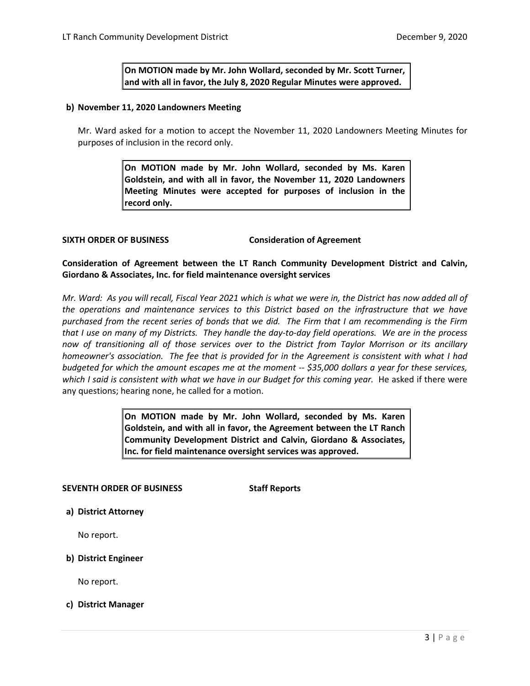**On MOTION made by Mr. John Wollard, seconded by Mr. Scott Turner, and with all in favor, the July 8, 2020 Regular Minutes were approved.** 

#### **b) November 11, 2020 Landowners Meeting**

Mr. Ward asked for a motion to accept the November 11, 2020 Landowners Meeting Minutes for purposes of inclusion in the record only.

> **On MOTION made by Mr. John Wollard, seconded by Ms. Karen Goldstein, and with all in favor, the November 11, 2020 Landowners Meeting Minutes were accepted for purposes of inclusion in the record only.**

**SIXTH ORDER OF BUSINESS Consideration of Agreement**

**Consideration of Agreement between the LT Ranch Community Development District and Calvin, Giordano & Associates, Inc. for field maintenance oversight services**

*Mr. Ward: As you will recall, Fiscal Year 2021 which is what we were in, the District has now added all of the operations and maintenance services to this District based on the infrastructure that we have purchased from the recent series of bonds that we did. The Firm that I am recommending is the Firm that I use on many of my Districts. They handle the day-to-day field operations. We are in the process now of transitioning all of those services over to the District from Taylor Morrison or its ancillary homeowner's association. The fee that is provided for in the Agreement is consistent with what I had budgeted for which the amount escapes me at the moment -- \$35,000 dollars a year for these services,*  which I said is consistent with what we have in our Budget for this coming year. He asked if there were any questions; hearing none, he called for a motion.

> **On MOTION made by Mr. John Wollard, seconded by Ms. Karen Goldstein, and with all in favor, the Agreement between the LT Ranch Community Development District and Calvin, Giordano & Associates, Inc. for field maintenance oversight services was approved.**

#### **SEVENTH ORDER OF BUSINESS Staff Reports**

**a) District Attorney**

No report.

#### **b) District Engineer**

No report.

#### **c) District Manager**